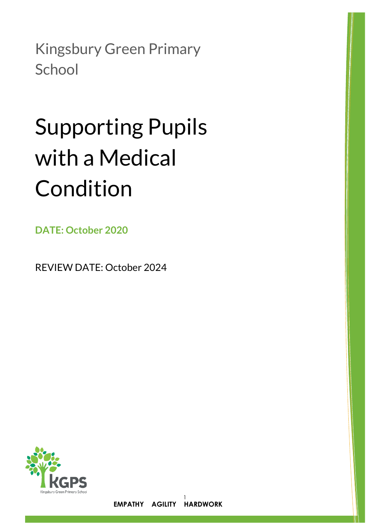Kingsbury Green Primary **School** 

# Supporting Pupils with a Medical Condition

**DATE: October 2020**

REVIEW DATE: October 2024

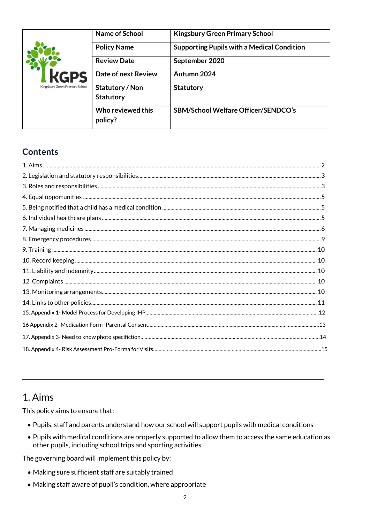|                                | Name of School                      | <b>Kingsbury Green Primary School</b>             |
|--------------------------------|-------------------------------------|---------------------------------------------------|
|                                | <b>Policy Name</b>                  | <b>Supporting Pupils with a Medical Condition</b> |
|                                | <b>Review Date</b>                  | September 2020                                    |
| <b>KGPS</b>                    | Date of next Review                 | Autumn 2024                                       |
| Kingsbury Green Primary School | Statutory / Non<br><b>Statutory</b> | <b>Statutory</b>                                  |
|                                | Who reviewed this<br>policy?        | <b>SBM/School Welfare Officer/SENDCO's</b>        |

# **Contents**

| 5.<br>2. سيستشن المستقدم المستقدم المستقدم المستقدم المستقدم المستقدم المستقدم المستقدم المستقدم المستقدم المستقدمة<br>5. استقدمت المستقدمات المستقدمات المستقدم المستقدم المستقدم المستقدم المستقدم المستقدم المستقدم المستقدم المس |  |
|--------------------------------------------------------------------------------------------------------------------------------------------------------------------------------------------------------------------------------------|--|
|                                                                                                                                                                                                                                      |  |
|                                                                                                                                                                                                                                      |  |
|                                                                                                                                                                                                                                      |  |
|                                                                                                                                                                                                                                      |  |
|                                                                                                                                                                                                                                      |  |
|                                                                                                                                                                                                                                      |  |
|                                                                                                                                                                                                                                      |  |
|                                                                                                                                                                                                                                      |  |
|                                                                                                                                                                                                                                      |  |
|                                                                                                                                                                                                                                      |  |
|                                                                                                                                                                                                                                      |  |
|                                                                                                                                                                                                                                      |  |

# 1. Aims

This policy aims to ensure that:

- . Pupils, staff and parents understand how our school will support pupils with medical conditions
- . Pupils with medical conditions are properly supported to allow them to access the same education as other pupils, including school trips and sporting activities

The governing board will implement this policy by:

- Making sure sufficient staff are suitably trained
- Making staff aware of pupil's condition, where appropriate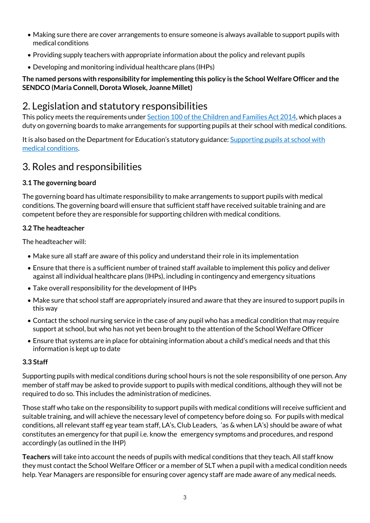- Making sure there are cover arrangements to ensure someone is always available to support pupils with medical conditions
- Providing supply teachers with appropriate information about the policy and relevant pupils
- Developing and monitoring individual healthcare plans (IHPs)

## **The named persons with responsibility for implementing this policy is the School Welfare Officer and the SENDCO (Maria Connell, Dorota Wlosek, Joanne Millet)**

# 2. Legislation and statutory responsibilities

This policy meets the requirements under [Section 100 of the Children and Families Act 2014,](http://www.legislation.gov.uk/ukpga/2014/6/part/5/crossheading/pupils-with-medical-conditions) which places a duty on governing boards to make arrangements for supporting pupils at their school with medical conditions.

It is also based on the Department for Education's statutory guidance: [Supporting pupils at school with](https://www.gov.uk/government/uploads/system/uploads/attachment_data/file/484418/supporting-pupils-at-school-with-medical-conditions.pdf)  [medical conditions.](https://www.gov.uk/government/uploads/system/uploads/attachment_data/file/484418/supporting-pupils-at-school-with-medical-conditions.pdf)

# 3. Roles and responsibilities

## **3.1 The governing board**

The governing board has ultimate responsibility to make arrangements to support pupils with medical conditions. The governing board will ensure that sufficient staff have received suitable training and are competent before they are responsible for supporting children with medical conditions.

## **3.2 The headteacher**

The headteacher will:

- Make sure all staff are aware of this policy and understand their role in its implementation
- Ensure that there is a sufficient number of trained staff available to implement this policy and deliver against all individual healthcare plans (IHPs), including in contingency and emergency situations
- Take overall responsibility for the development of IHPs
- Make sure that school staff are appropriately insured and aware that they are insured to support pupils in this way
- Contact the school nursing service in the case of any pupil who has a medical condition that may require support at school, but who has not yet been brought to the attention of the School Welfare Officer
- Ensure that systems are in place for obtaining information about a child's medical needs and that this information is kept up to date

## **3.3 Staff**

Supporting pupils with medical conditions during school hours is not the sole responsibility of one person. Any member of staff may be asked to provide support to pupils with medical conditions, although they will not be required to do so. This includes the administration of medicines.

Those staff who take on the responsibility to support pupils with medical conditions will receive sufficient and suitable training, and will achieve the necessary level of competency before doing so. For pupils with medical conditions, all relevant staff eg year team staff, LA's, Club Leaders, 'as & when LA's) should be aware of what constitutes an emergency for that pupil i.e. know the emergency symptoms and procedures, and respond accordingly (as outlined in the IHP)

**Teachers** will take into account the needs of pupils with medical conditions that they teach. All staff know they must contact the School Welfare Officer or a member of SLT when a pupil with a medical condition needs help. Year Managers are responsible for ensuring cover agency staff are made aware of any medical needs.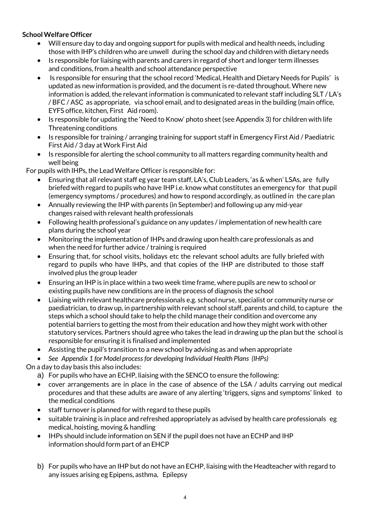## **SchoolWelfare Officer**

- $\bullet$  Will ensure day to day and ongoing support for pupils with medical and health needs, including those with IHP's children who are unwell during the school day and children with dietary needs
- Is responsible for liaising with parents and carers in regard of short and longer term illnesses and conditions, from a health and school attendance perspective
- Is responsible for ensuring that the school record 'Medical, Health and Dietary Needs for Pupils' is updated as new information is provided, and the document is re-dated throughout. Where new information is added, the relevant information is communicated to relevant staff including SLT / LA's / BFC / ASC as appropriate, via school email, and to designated areas in the building (main office, EYFS office, kitchen, First Aid room).
- Is responsible for updating the 'Need to Know' photo sheet (see Appendix 3) for children with life Threatening conditions
- Is responsible for training / arranging training for support staff in Emergency First Aid / Paediatric First Aid / 3 day atWork First Aid
- Is responsible for alerting the school community to all matters regarding community health and well being

For pupils with IHPs, the Lead Welfare Officer is responsible for:

- Ensuring that all relevant staff eg year team staff, LA's, Club Leaders, 'as & when' LSAs, are fully briefed with regard to pupils who have IHP i.e. know what constitutes an emergency for that pupil (emergency symptoms / procedures) and how to respond accordingly, as outlined in the care plan
- Annually reviewing the IHP with parents (in September) and following up any mid-year changes raised with relevant health professionals
- Following health professional's guidance on any updates / implementation of new health care plans during the school year
- Monitoring the implementation of IHPs and drawing upon health care professionals as and when the need for further advice / training is required
- Ensuring that, for school visits, holidays etc the relevant school adults are fully briefed with regard to pupils who have IHPs, and that copies of the IHP are distributed to those staff involved plus the group leader
- Ensuring an IHP is in place within a two week time frame, where pupils are new to school or existing pupils have new conditions are in the process of diagnosis the school
- Liaising with relevant healthcare professionals e.g. school nurse, specialist or community nurse or paediatrician, to draw up, in partnership with relevant school staff, parents and child, to capture the steps which a school should take to help the child manage their condition and overcome any potential barriers to getting the most from their education and how they might work with other statutory services. Partners should agree who takes the lead in drawing up the plan but the school is responsible for ensuring it is finalised and implemented
- Assisting the pupil's transition to a new school by advising as and when appropriate

*See Appendix 1 for Model process for developing Individual Health Plans (IHPs)*

On a day to day basis this also includes:

a) For pupils who have an ECHP, liaising with the SENCO to ensure the following:

- cover arrangements are in place in the case of absence of the LSA / adults carrying out medical procedures and that these adults are aware of any alerting 'triggers, signs and symptoms' linked to the medical conditions
- staff turnover is planned for with regard to these pupils
- suitable training is in place and refreshed appropriately as advised by health care professionals eg medical, hoisting, moving & handling
- IHPs should include information on SEN ifthe pupil does not have an ECHP and IHP information should form part of an EHCP
- b) For pupils who have an IHP but do not have an ECHP, liaising with the Headteacher with regard to any issues arising eg Epipens, asthma, Epilepsy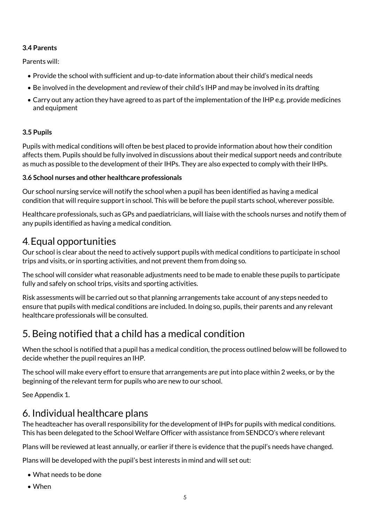## **3.4 Parents**

Parents will:

- Provide the school with sufficient and up-to-date information about their child's medical needs
- Be involved in the development and review of their child's IHP and may be involved in its drafting
- Carry out any action they have agreed to as part of the implementation of the IHP e.g. provide medicines and equipment

# **3.5 Pupils**

Pupils with medical conditions will often be best placed to provide information about how their condition affects them. Pupils should be fully involved in discussions about their medical support needs and contribute as much as possible to the development of their IHPs. They are also expected to comply with their IHPs.

# **3.6 School nurses and other healthcare professionals**

Our school nursing service will notify the school when a pupil has been identified as having a medical condition that will require support in school. This will be before the pupil starts school, wherever possible.

Healthcare professionals, such as GPs and paediatricians, will liaise with the schools nurses and notify them of any pupils identified as having a medical condition.

# 4**.** Equal opportunities

Our school is clear about the need to actively support pupils with medical conditions to participate in school trips and visits, or in sporting activities, and not prevent them from doing so.

The school will consider what reasonable adjustments need to be made to enable these pupils to participate fully and safely on school trips, visits and sporting activities.

Risk assessments will be carried out so that planning arrangements take account of any steps needed to ensure that pupils with medical conditions are included. In doing so, pupils, their parents and any relevant healthcare professionals will be consulted.

# 5. Being notified that a child has a medical condition

When the school is notified that a pupil has a medical condition, the process outlined below will be followed to decide whether the pupil requires an IHP.

The school will make every effort to ensure that arrangements are put into place within 2 weeks, or by the beginning of the relevant term for pupils who are new to our school.

See Appendix 1.

# 6. Individual healthcare plans

The headteacher has overall responsibility for the development of IHPs for pupils with medical conditions. This has been delegated to the School Welfare Officer with assistance from SENDCO's where relevant

Plans will be reviewed at least annually, or earlier if there is evidence that the pupil's needs have changed.

Plans will be developed with the pupil's best interests in mind and will set out:

- What needs to be done
- When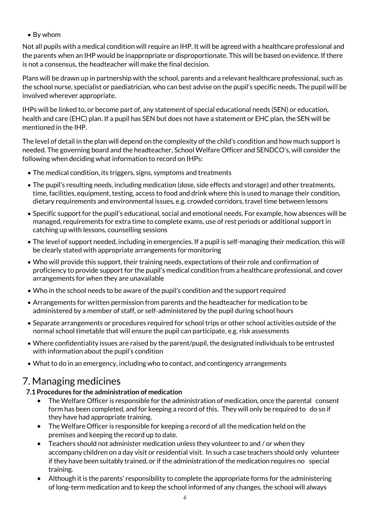By whom

Not all pupils with a medical condition will require an IHP. It will be agreed with a healthcare professional and the parents when an IHP would be inappropriate or disproportionate. This will be based on evidence. If there is not a consensus, the headteacher will make the final decision.

Plans will be drawn up in partnership with the school, parents and a relevant healthcare professional, such as the school nurse, specialist or paediatrician, who can best advise on the pupil's specific needs. The pupil will be involved wherever appropriate.

IHPs will be linked to, or become part of, any statement of special educational needs (SEN) or education, health and care (EHC) plan. If a pupil has SEN but does not have a statement or EHC plan, the SEN will be mentioned in the IHP.

The level of detail in the plan will depend on the complexity of the child's condition and how much support is needed. The governing board and the headteacher, School Welfare Officer and SENDCO's, will consider the following when deciding what information to record on IHPs:

- The medical condition, its triggers, signs, symptoms and treatments
- The pupil's resulting needs, including medication (dose, side effects and storage) and other treatments, time, facilities, equipment, testing, access to food and drink where this is used to manage their condition, dietary requirements and environmental issues, e.g. crowded corridors, travel time between lessons
- Specific support for the pupil's educational, social and emotional needs. For example, how absences will be managed, requirements for extra time to complete exams, use of rest periods or additional support in catching up with lessons, counselling sessions
- The level of support needed, including in emergencies. If a pupil is self-managing their medication, this will be clearly stated with appropriate arrangements for monitoring
- Who will provide this support, their training needs, expectations of their role and confirmation of proficiency to provide support for the pupil's medical condition from a healthcare professional, and cover arrangements for when they are unavailable
- Who in the school needs to be aware of the pupil's condition and the support required
- Arrangements for written permission from parents and the headteacher for medication to be administered by a member of staff, or self-administered by the pupil during school hours
- Separate arrangements or procedures required for school trips or other school activities outside of the normal school timetable that will ensure the pupil can participate, e.g. risk assessments
- Where confidentiality issues are raised by the parent/pupil, the designated individuals to be entrusted with information about the pupil's condition
- What to do in an emergency, including who to contact, and contingency arrangements

# 7. Managing medicines

## **7.1 Procedures for the administration of medication**

- The Welfare Officer is responsible for the administration of medication, once the parental consent form has been completed, and for keeping a record of this. They will only be required to do so if they have had appropriate training.
- The Welfare Officer is responsible for keeping a record of all the medication held on the premises and keeping the record up to date.
- Teachers should not administer medication unless they volunteer to and / or when they accompany children on a day visit or residential visit. In such a case teachers should only volunteer if they have been suitably trained, or if the administration of the medication requires no special training.
- Although it is the parents' responsibility to complete the appropriate forms for the administering of long-term medication and to keep the school informed of any changes, the school will always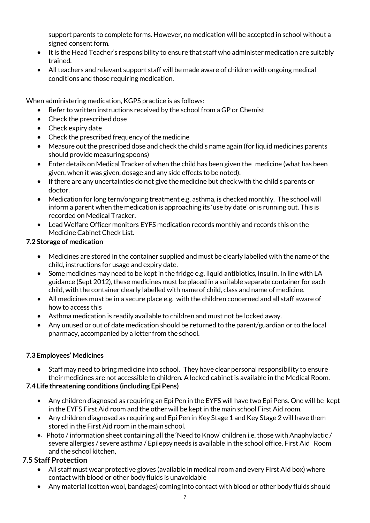support parents to complete forms. However, no medication will be accepted in school without a signed consent form.

- It is the Head Teacher's responsibility to ensure that staff who administer medication are suitably trained.
- All teachers and relevant support staff will be made aware of children with ongoing medical conditions and those requiring medication.

When administering medication, KGPS practice is as follows:

- Refer to written instructions received by the school from a GP or Chemist
- Check the prescribed dose
- Check expiry date
- Check the prescribed frequency of the medicine
- Measure out the prescribed dose and check the child's name again (for liquid medicines parents should provide measuring spoons)
- Enter details on Medical Tracker of when the child has been given the medicine (what has been given, when it was given, dosage and any side effects to be noted).
- If there are any uncertainties do not give the medicine but check with the child's parents or doctor.
- Medication for long term/ongoing treatment e.g. asthma, is checked monthly. The school will inform a parent when the medication is approaching its 'use by date' or is running out. This is recorded on Medical Tracker.
- LeadWelfare Officer monitors EYFS medication records monthly and records this on the Medicine Cabinet Check List.

## **7.2 Storage of medication**

- Medicines are stored in the container supplied and must be clearly labelled with the name of the child, instructions for usage and expiry date.
- Some medicines may need to be kept in the fridge e.g. liquid antibiotics, insulin. In line with LA guidance (Sept 2012), these medicines must be placed in a suitable separate container for each child, with the container clearly labelled with name of child, class and name of medicine.
- All medicines must be in a secure place e.g. with the children concerned and all staff aware of how to access this
- Asthma medication is readily available to children and must not be locked away.
- Any unused or out of date medication should be returned to the parent/guardian or to the local pharmacy, accompanied by a letter from the school.

#### **7.3 Employees' Medicines**

 Staff may need to bring medicine into school. They have clear personal responsibility to ensure their medicines are not accessible to children. A locked cabinetis available in the Medical Room.

## **7.4 Life threatening conditions (including Epi Pens)**

- Any children diagnosed as requiring an Epi Pen in the EYFS will have two Epi Pens. One will be kept in the EYFS First Aid room and the other will be keptin the main school First Aid room.
- Any children diagnosed as requiring and Epi Pen in Key Stage 1 and Key Stage 2 will have them stored in the First Aid room in the main school.
- Photo / information sheet containing all the 'Need to Know' children i.e. those with Anaphylactic / severe allergies / severe asthma / Epilepsy needs is available in the school office, First Aid Room and the school kitchen,

# **7.5 Staff Protection**

- All staff must wear protective gloves (available in medical room and every First Aid box) where contact with blood or other body fluids is unavoidable
- Any material (cotton wool, bandages) coming into contact with blood or other body fluids should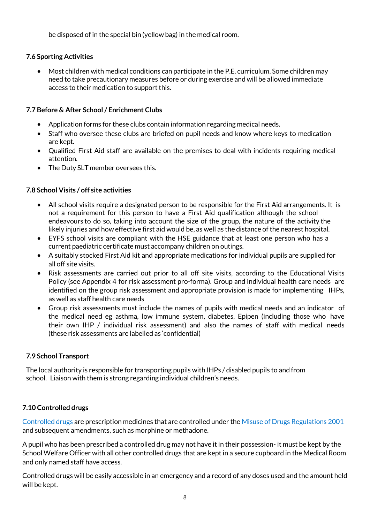be disposed of in the special bin (yellow bag) in the medical room.

## **7.6 Sporting Activities**

 Most children with medical conditions can participate in the P.E. curriculum. Some children may need to take precautionary measures before or during exercise and will be allowed immediate access to their medication to support this.

## **7.7 Before & After School / Enrichment Clubs**

- Application forms for these clubs contain information regarding medical needs.
- Staff who oversee these clubs are briefed on pupil needs and know where keys to medication are kept.
- Qualified First Aid staff are available on the premises to deal with incidents requiring medical attention.
- The Duty SLT member oversees this.

## **7.8 School Visits / off site activities**

- All school visits require a designated person to be responsible for the First Aid arrangements. It is not a requirement for this person to have a First Aid qualification although the school endeavours to do so, taking into account the size of the group, the nature of the activity the likely injuries and how effective first aid would be, as well as the distance of the nearest hospital.
- EYFS school visits are compliant with the HSE guidance that at least one person who has a current paediatric certificate must accompany children on outings.
- A suitably stocked First Aid kit and appropriate medications for individual pupils are supplied for all off site visits.
- Risk assessments are carried out prior to all off site visits, according to the Educational Visits Policy (see Appendix 4 for risk assessment pro-forma). Group and individual health care needs are identified on the group risk assessment and appropriate provision is made for implementing IHPs, as well as staff health care needs
- Group risk assessments must include the names of pupils with medical needs and an indicator of the medical need eg asthma, low immune system, diabetes, Epipen (including those who have their own IHP / individual risk assessment) and also the names of staff with medical needs (these risk assessments are labelled as 'confidential)

#### **7.9 School Transport**

The local authority is responsible for transporting pupils with IHPs / disabled pupils to and from school. Liaison with them is strong regarding individual children's needs.

## **7.10 Controlled drugs**

[Controlled drugs](http://www.nhs.uk/chq/Pages/1391.aspx?CategoryID=73) are prescription medicines that are controlled under the [Misuse of Drugs Regulations 2001](http://www.legislation.gov.uk/uksi/2001/3998/schedule/1/made) and subsequent amendments, such as morphine or methadone.

A pupil who has been prescribed a controlled drug may not have it in their possession- it must be kept by the School Welfare Officer with all other controlled drugs that are kept in a secure cupboard in the Medical Room and only named staff have access.

Controlled drugs will be easily accessible in an emergency and a record of any doses used and the amount held will be kept.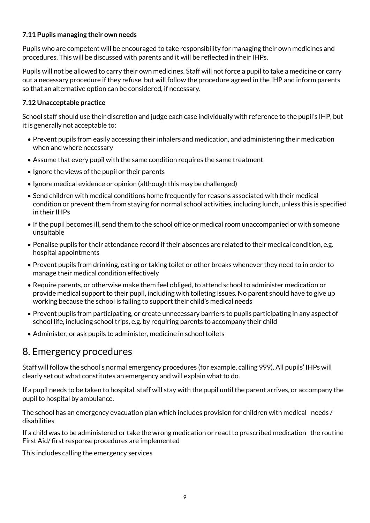## **7.11 Pupils managing their own needs**

Pupils who are competent will be encouraged to take responsibility for managing their own medicines and procedures. This will be discussed with parents and it will be reflected in their IHPs.

Pupils will not be allowed to carry their own medicines. Staff will not force a pupil to take a medicine or carry out a necessary procedure if they refuse, but will follow the procedure agreed in the IHP and inform parents so that an alternative option can be considered, if necessary.

## **7.12 Unacceptable practice**

School staff should use their discretion and judge each case individually with reference to the pupil's IHP, but it is generally not acceptable to:

- Prevent pupils from easily accessing their inhalers and medication, and administering their medication when and where necessary
- Assume that every pupil with the same condition requires the same treatment
- Ignore the views of the pupil or their parents
- Ignore medical evidence or opinion (although this may be challenged)
- Send children with medical conditions home frequently for reasons associated with their medical condition or prevent them from staying for normal school activities, including lunch, unless this is specified in their IHPs
- If the pupil becomes ill, send them to the school office or medical room unaccompanied or with someone unsuitable
- Penalise pupils for their attendance record if their absences are related to their medical condition, e.g. hospital appointments
- Prevent pupils from drinking, eating or taking toilet or other breaks whenever they need to in order to manage their medical condition effectively
- Require parents, or otherwise make them feel obliged, to attend school to administer medication or provide medical support to their pupil, including with toileting issues. No parent should have to give up working because the school is failing to support their child's medical needs
- Prevent pupils from participating, or create unnecessary barriers to pupils participating in any aspect of school life, including school trips, e.g. by requiring parents to accompany their child
- Administer, or ask pupils to administer, medicine in school toilets

# 8. Emergency procedures

Staff will follow the school's normal emergency procedures (for example, calling 999). All pupils' IHPs will clearly set out what constitutes an emergency and will explain what to do.

If a pupil needs to be taken to hospital, staff will stay with the pupil until the parent arrives, or accompany the pupil to hospital by ambulance.

The school has an emergency evacuation plan which includes provision for children with medical needs / disabilities

If a child was to be administered or take the wrong medication or react to prescribed medication the routine First Aid/first response procedures are implemented

This includes calling the emergency services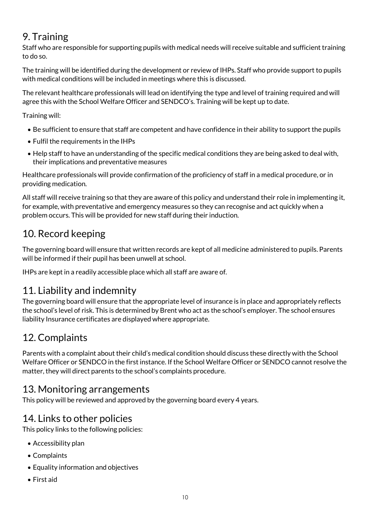# 9. Training

Staff who are responsible for supporting pupils with medical needs will receive suitable and sufficient training to do so.

The training will be identified during the development or review of IHPs. Staff who provide support to pupils with medical conditions will be included in meetings where this is discussed.

The relevant healthcare professionals will lead on identifying the type and level of training required and will agree this with the School Welfare Officer and SENDCO's. Training will be kept up to date.

Training will:

- Be sufficient to ensure that staff are competent and have confidence in their ability to support the pupils
- Fulfil the requirements in the IHPs
- Help staff to have an understanding of the specific medical conditions they are being asked to deal with, their implications and preventative measures

Healthcare professionals will provide confirmation of the proficiency of staff in a medical procedure, or in providing medication.

All staff will receive training so that they are aware of this policy and understand their role in implementing it, for example, with preventative and emergency measures so they can recognise and act quickly when a problem occurs. This will be provided for new staff during their induction.

# 10. Record keeping

The governing board will ensure that written records are kept of all medicine administered to pupils. Parents will be informed if their pupil has been unwell at school.

IHPs are kept in a readily accessible place which all staff are aware of.

# 11. Liability and indemnity

The governing board will ensure that the appropriate level of insurance is in place and appropriately reflects the school's level of risk. This is determined by Brent who act as the school's employer. The school ensures liability Insurance certificates are displayed where appropriate.

# 12. Complaints

Parents with a complaint about their child's medical condition should discuss these directly with the School Welfare Officer or SENDCO in the first instance. If the School Welfare Officer or SENDCO cannot resolve the matter, they will direct parents to the school's complaints procedure.

# 13. Monitoring arrangements

This policy will be reviewed and approved by the governing board every 4 years.

# 14. Links to other policies

This policy links to the following policies:

- Accessibility plan
- Complaints
- Equality information and objectives
- First aid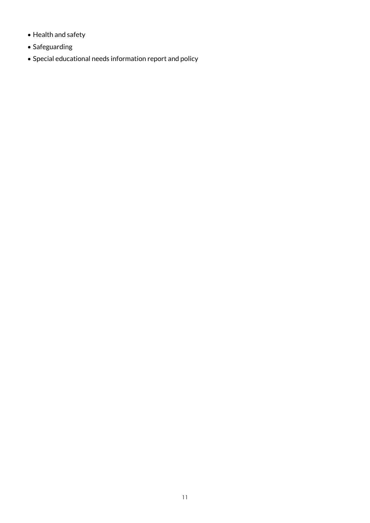- Health and safety
- Safeguarding
- Special educational needs information report and policy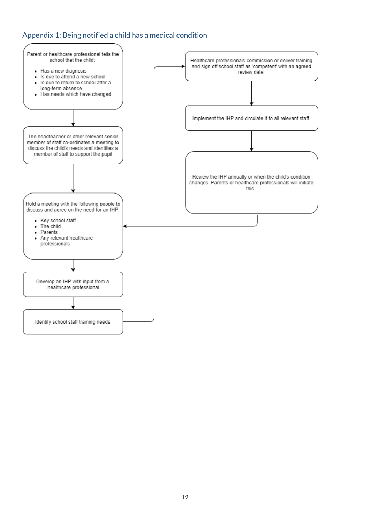# Appendix 1: Being notified a child has a medical condition

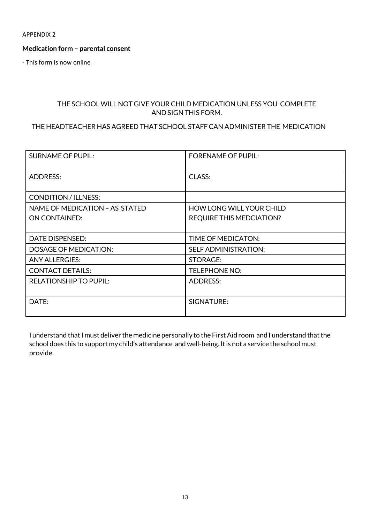APPENDIX 2

#### **Medication form – parental consent**

- This form is now online

#### THE SCHOOL WILL NOT GIVE YOUR CHILD MEDICATION UNLESS YOU COMPLETE AND SIGN THIS FORM.

## THE HEADTEACHER HAS AGREED THAT SCHOOL STAFFCAN ADMINISTER THE MEDICATION

| <b>SURNAME OF PUPIL:</b>       | <b>FORENAME OF PUPIL:</b>       |
|--------------------------------|---------------------------------|
| <b>ADDRESS:</b>                | CLASS:                          |
| <b>CONDITION / ILLNESS:</b>    |                                 |
| NAME OF MEDICATION - AS STATED | <b>HOW LONG WILL YOUR CHILD</b> |
| <b>ON CONTAINED:</b>           | <b>REQUIRE THIS MEDCIATION?</b> |
|                                |                                 |
| <b>DATE DISPENSED:</b>         | TIME OF MEDICATON:              |
| <b>DOSAGE OF MEDICATION:</b>   | <b>SELF ADMINISTRATION:</b>     |
| <b>ANY ALLERGIES:</b>          | STORAGE:                        |
| <b>CONTACT DETAILS:</b>        | <b>TELEPHONE NO:</b>            |
| <b>RELATIONSHIP TO PUPIL:</b>  | <b>ADDRESS:</b>                 |
| DATE:                          | SIGNATURE:                      |

I understand that I must deliver the medicine personally to the First Aid room and I understand that the school does this to support my child's attendance and well-being. It is not a service the school must provide.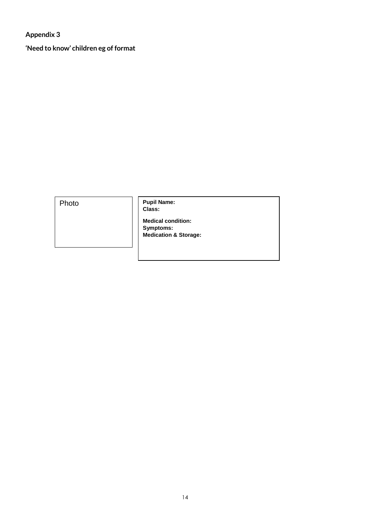**Appendix 3**

**'Need to know' children eg of format**

Photo **Pupil Name: Class:**

**Medical condition: Symptoms: Medication & Storage:**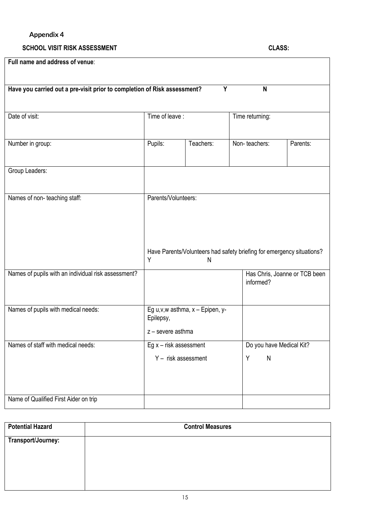# **Appendix 4**

#### **SCHOOL VISIT RISK ASSESSMENT CLASS:**

| Full name and address of venue:                                                    |                          |                                   |                                                                       |                               |
|------------------------------------------------------------------------------------|--------------------------|-----------------------------------|-----------------------------------------------------------------------|-------------------------------|
|                                                                                    |                          |                                   |                                                                       |                               |
| Have you carried out a pre-visit prior to completion of Risk assessment?<br>Y<br>N |                          |                                   |                                                                       |                               |
|                                                                                    |                          |                                   |                                                                       |                               |
| Date of visit:                                                                     | Time of leave:           |                                   | Time returning:                                                       |                               |
|                                                                                    |                          |                                   |                                                                       |                               |
| Number in group:                                                                   | Pupils:                  | Teachers:                         | Non-teachers:                                                         | Parents:                      |
|                                                                                    |                          |                                   |                                                                       |                               |
| Group Leaders:                                                                     |                          |                                   |                                                                       |                               |
|                                                                                    |                          |                                   |                                                                       |                               |
| Names of non-teaching staff:                                                       | Parents/Volunteers:      |                                   |                                                                       |                               |
|                                                                                    |                          |                                   |                                                                       |                               |
|                                                                                    |                          |                                   |                                                                       |                               |
|                                                                                    |                          |                                   | Have Parents/Volunteers had safety briefing for emergency situations? |                               |
|                                                                                    | Y                        | N                                 |                                                                       |                               |
| Names of pupils with an individual risk assessment?                                |                          |                                   | informed?                                                             | Has Chris, Joanne or TCB been |
|                                                                                    |                          |                                   |                                                                       |                               |
| Names of pupils with medical needs:                                                |                          | Eg u, v, w asthma, x - Epipen, y- |                                                                       |                               |
|                                                                                    | Epilepsy,                |                                   |                                                                       |                               |
|                                                                                    | z - severe asthma        |                                   |                                                                       |                               |
| Names of staff with medical needs:                                                 | Eg $x$ – risk assessment |                                   | Do you have Medical Kit?                                              |                               |
|                                                                                    | $Y -$ risk assessment    |                                   | Υ<br>$\mathsf{N}$                                                     |                               |
|                                                                                    |                          |                                   |                                                                       |                               |
|                                                                                    |                          |                                   |                                                                       |                               |
| Name of Qualified First Aider on trip                                              |                          |                                   |                                                                       |                               |

| <b>Potential Hazard</b> | <b>Control Measures</b> |
|-------------------------|-------------------------|
| Transport/Journey:      |                         |
|                         |                         |
|                         |                         |
|                         |                         |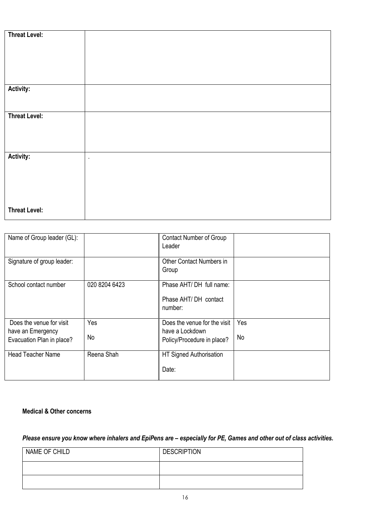| <b>Threat Level:</b> |           |
|----------------------|-----------|
|                      |           |
|                      |           |
|                      |           |
|                      |           |
|                      |           |
|                      |           |
|                      |           |
|                      |           |
|                      |           |
|                      |           |
|                      |           |
| Activity:            |           |
|                      |           |
|                      |           |
|                      |           |
|                      |           |
|                      |           |
| <b>Threat Level:</b> |           |
|                      |           |
|                      |           |
|                      |           |
|                      |           |
|                      |           |
|                      |           |
|                      |           |
|                      |           |
| Activity:            | $\bullet$ |
|                      |           |
|                      |           |
|                      |           |
|                      |           |
|                      |           |
|                      |           |
|                      |           |
|                      |           |
|                      |           |
|                      |           |
|                      |           |
| <b>Threat Level:</b> |           |
|                      |           |
|                      |           |

| Name of Group leader (GL):                                                 |               | <b>Contact Number of Group</b><br>Leader                                      |           |
|----------------------------------------------------------------------------|---------------|-------------------------------------------------------------------------------|-----------|
| Signature of group leader:                                                 |               | Other Contact Numbers in<br>Group                                             |           |
| School contact number                                                      | 020 8204 6423 | Phase AHT/ DH full name:<br>Phase AHT/DH contact<br>number:                   |           |
| Does the venue for visit<br>have an Emergency<br>Evacuation Plan in place? | Yes<br>No     | Does the venue for the visit<br>have a Lockdown<br>Policy/Procedure in place? | Yes<br>No |
| <b>Head Teacher Name</b>                                                   | Reena Shah    | HT Signed Authorisation<br>Date:                                              |           |

#### **Medical & Other concerns**

*Please ensure you know where inhalers and EpiPens are – especially for PE, Games and other out of class activities.*

| NAME OF CHILD | <b>DESCRIPTION</b> |
|---------------|--------------------|
|               |                    |
|               |                    |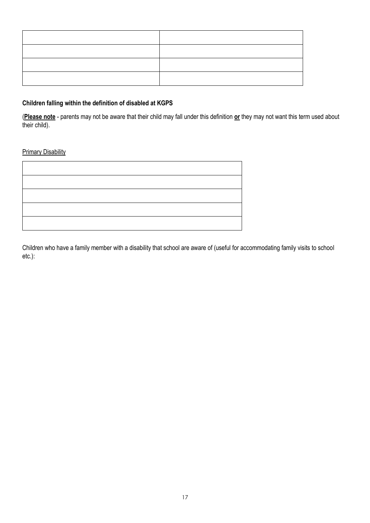#### **Children falling within the definition of disabled at KGPS**

(**Please note** - parents may not be aware that their child may fall under this definition **or** they may not want this term used about their child).

#### **Primary Disability**

Children who have a family member with a disability that school are aware of (useful for accommodating family visits to school etc.):